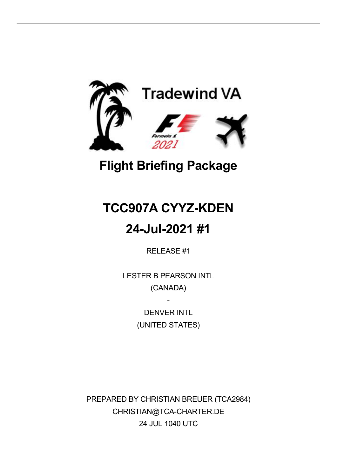

## **Flight Briefing Package**

# **TCC907A CYYZ-KDEN**

### **24-Jul-2021 #1**

RELEASE #1

LESTER B PEARSON INTL (CANADA)

> DENVER INTI (UNITED STATES)

-

PREPARED BY CHRISTIAN BREUER (TCA2984) CHRISTIAN@TCA-CHARTER.DE 24 JUL 1040 UTC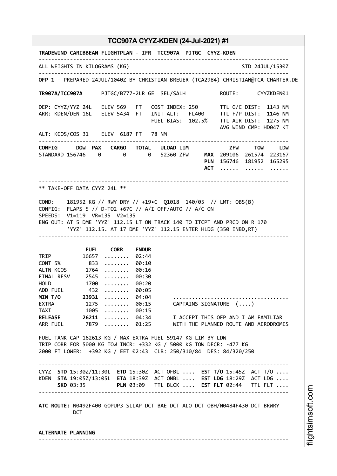**TRADEWIND CARIBBEAN FLIGHTPLAN - IFR TCC907A PJTGC CYYZ-KDEN** -------------------------------------------------------------------------------- ALL WEIGHTS IN KILOGRAMS (KG) STO 24JUL/1530Z -------------------------------------------------------------------------------- **OFP 1** - PREPARED 24JUL/1040Z BY CHRISTIAN BREUER (TCA2984) CHRISTIAN@TCA-CHARTER.DE **TR907A/TCC907A** PJTGC/B777-2LR GE SEL/SALH ROUTE: CYYZKDEN01 DEP: CYYZ/YYZ 24L ELEV 569 FT COST INDEX: 250 TTL G/C DIST: 1143 NM ARR: KDEN/DEN 16L ELEV 5434 FT INIT ALT: FL400 TTL F/P DIST: 1146 NM FUEL BIAS: 102.5% TTL AIR DIST: 1275 NM AVG WIND CMP: HD047 KT ALT: KCOS/COS 31 ELEV 6187 FT 78 NM -------------------------------------------------------------------------------- **CONFIG DOW PAX CARGO TOTAL ULOAD LIM ZFW TOW LDW** STANDARD 156746 0 0 0 52360 ZFW **MAX** 209106 261574 223167 **PLN** 156746 181952 165295 **ACT** ...... ....... ...... -------------------------------------------------------------------------------- \*\* TAKE-OFF DATA CYYZ 24L \*\* COND: 181952 KG // RWY DRY // +19•C Q1018 140/05 // LMT: OBS(B) CONFIG: FLAPS 5 // D-TO2 +67C // A/I OFF/AUTO // A/C ON SPEEDS: V1=119 VR=135 V2=135 ENG OUT: AT 5 DME 'YYZ' 112.15 LT ON TRACK 140 TO ITCPT AND PRCD ON R 170 'YYZ' 112.15. AT 17 DME 'YYZ' 112.15 ENTER HLDG (350 INBD,RT) -------------------------------------------------------------------------------- **FUEL CORR ENDUR** TRIP 16657 ........ 02:44<br>CONT 5% 833 ........ 00:10 CONT 5% 833 ........ 00:10 ALTN KCOS 1764 ........ 00:16 FINAL RESV 2545 ........ 00:30 HOLD 1700 ........ 00:20 ADD FUEL 432 ........ 00:05 **MIN T/O 23931** ........ 04:04 ..................................... EXTRA 1275 ........ 00:15 CAPTAINS SIGNATURE (....)<br>TAXI 1005 ........ 00:15 TAXI 1005 ........ 00:15<br>RELEASE 26211 ........ 04:34 **RELEASE 26211** ........ 04:34 I ACCEPT THIS OFP AND I AM FAMILIAR<br>ARR FUEL 7879 ........ 01:25 WITH THE PLANNED ROUTE AND AERODROME 7879 ........ 01:25 WITH THE PLANNED ROUTE AND AERODROMES FUEL TANK CAP 162613 KG / MAX EXTRA FUEL 59147 KG LIM BY LDW TRIP CORR FOR 5000 KG TOW INCR: +332 KG / 5000 KG TOW DECR: -477 KG 2000 FT LOWER: +392 KG / EET 02:43 CLB: 250/310/84 DES: 84/320/250 -------------------------------------------------------------------------------- CYYZ **STD** 15:30Z/11:30L **ETD** 15:30Z ACT OFBL .... **EST T/O** 15:45Z ACT T/O .... KDEN **STA** 19:05Z/13:05L **ETA** 18:39Z ACT ONBL .... **EST LDG** 18:29Z ACT LDG .... **SKD** 03:35 **PLN** 03:09 TTL BLCK .... **EST FLT** 02:44 TTL FLT .... -------------------------------------------------------------------------------- **ATC ROUTE:** N0492F400 GOPUP3 SLLAP DCT BAE DCT ALO DCT OBH/N0484F430 DCT BRWRY DCT **ALTERNATE PLANNING** --------------------------------------------------------------------------------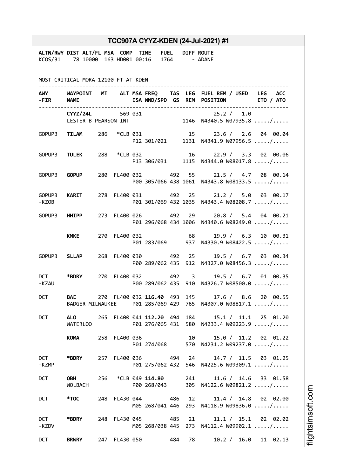|                     |                                                                                                     |  |                                    |  | TCC907A CYYZ-KDEN (24-Jul-2021) #1                                                                    |
|---------------------|-----------------------------------------------------------------------------------------------------|--|------------------------------------|--|-------------------------------------------------------------------------------------------------------|
|                     | ALTN/RWY DIST ALT/FL MSA COMP TIME FUEL DIFF ROUTE<br>KCOS/31 78 10000 163 HD001 00:16 1764 - ADANE |  |                                    |  |                                                                                                       |
|                     | MOST CRITICAL MORA 12100 FT AT KDEN                                                                 |  |                                    |  |                                                                                                       |
|                     | -FIR NAME                                                                                           |  |                                    |  | AWY WAYPOINT MT ALT MSA FREQ TAS LEG FUEL REM / USED LEG ACC<br>ISA WND/SPD GS REM POSITION ETO / ATO |
|                     |                                                                                                     |  |                                    |  | CYYZ/24L 569 031 25.2 / 1.0<br>LESTER B PEARSON INT 1146 N4340.5 W07935.8 /                           |
|                     |                                                                                                     |  |                                    |  | GOPUP3 TILAM 286 *CLB 031 15 23.6 / 2.6 04 00.04<br>P12 301/021 1131 N4341.9 W07956.5 /               |
|                     |                                                                                                     |  |                                    |  | GOPUP3 TULEK 288 *CLB 032 16 22.9 / 3.3 02 00.06<br>P13 306/031 1115 N4344.0 W08017.8 /               |
|                     | GOPUP3 <b>GOPUP</b>                                                                                 |  |                                    |  | 280 FL400 032 492 55 21.5 / 4.7 08 00.14<br>P00 305/066 438 1061 N4343.8 W08133.5 /                   |
| -KZOB               | GOPUP3 KARIT                                                                                        |  |                                    |  | 278 FL400 031 492 25 21.2 / 5.0 03 00.17<br>P01 301/069 432 1035 N4343.4 W08208.7 /                   |
|                     | GOPUP3 HHIPP                                                                                        |  |                                    |  | 273 FL400 026 492 29 20.8 / 5.4 04 00.21<br>P01 296/068 434 1006 N4340.6 W08249.0 /                   |
|                     | <b>KMKE</b>                                                                                         |  | 270 FL400 032 68                   |  | 19.9 / 6.3 10 00.31<br>P01 283/069 937 N4330.9 W08422.5 /                                             |
|                     | GOPUP3 SLLAP                                                                                        |  | 268 FL400 030 492 25               |  | 19.5 / 6.7 03 00.34<br>P00 289/062 435 912 N4327.0 W08456.3 /                                         |
| -KZAU               | DCT *BDRY                                                                                           |  | 270 FL400 032 492 3                |  | 19.5 / 6.7 01 00.35<br>P00 289/062 435 910 N4326.7 W08500.0 /                                         |
| <b>DCT</b>          |                                                                                                     |  |                                    |  | BAE 270 FL400 032 116.40 493 145 17.6 / 8.6 20 00.55                                                  |
| <b>DCT</b>          | WATERLOO                                                                                            |  |                                    |  | ALO 265 FL400 041 112.20 494 184 15.1 / 11.1 25 01.20<br>P01 276/065 431 580 N4233.4 W09223.9 /       |
|                     | KOMANDO                                                                                             |  | 258 FL400 036 10                   |  | 15.0 / 11.2 02 01.22<br>P01 274/068 570 N4231.2 W09237.0 /                                            |
| <b>DCT</b><br>-KZMP | *BDRY                                                                                               |  |                                    |  | 257 FL400 036 494 24 14.7 / 11.5 03 01.25<br>P01 275/062 432 546 N4225.6 W09309.1 /                   |
| <b>DCT</b>          | <b>OBH</b><br>WOLBACH                                                                               |  | 256 *CLB 049 114.80<br>P00 268/043 |  | 241 11.6 / 14.6 33 01.58<br>305 N4122.6 W09821.2 /                                                    |
| <b>DCT</b>          | *TOC * *                                                                                            |  | 248 FL430 044 486                  |  | 12 and $\overline{a}$<br>11.4 / 14.8 02 02.00<br>M05 268/041 446 293 N4118.9 W09836.0 /               |
| <b>DCT</b><br>-KZDV | *BDRY                                                                                               |  | 248 FL430 045 485                  |  | 21<br>11.1 / 15.1 02 02.02<br>M05 268/038 445 273 N4112.4 W09902.1 /                                  |
| <b>DCT</b>          | <b>BRWRY</b>                                                                                        |  | 247 FL430 050 484 78               |  | 10.2 / 16.0 11 02.13                                                                                  |

i⊒<br>⊫ htsim soft.c o

m

Ī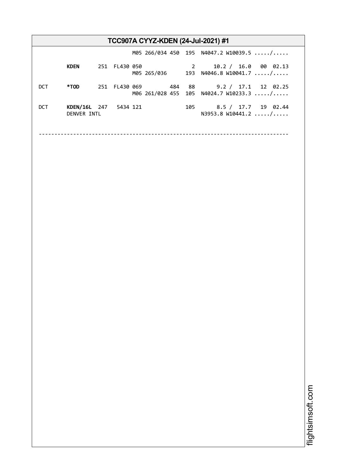|            |                                      |               |  |  | <b>TCC907A CYYZ-KDEN (24-Jul-2021) #1</b>                                          |
|------------|--------------------------------------|---------------|--|--|------------------------------------------------------------------------------------|
|            |                                      |               |  |  | M05 266/034 450 195 N4047.2 W10039.5 /                                             |
|            | <b>KDEN</b>                          | 251 FL430 050 |  |  | 2 10.2 / 16.0 00 02.13<br>M05 265/036 193 N4046.8 W10041.7 /                       |
| DCT.       | *TOD                                 |               |  |  | 251 FL430 069 484 88 9.2 / 17.1 12 02.25<br>M06 261/028 455 105 N4024.7 W10233.3 / |
| <b>DCT</b> | KDEN/16L 247 5434 121<br>DENVER INTL |               |  |  | 8.5 / 17.7 19 02.44<br>105 — 107<br>N3953.8 W10441.2  /                            |
|            |                                      |               |  |  |                                                                                    |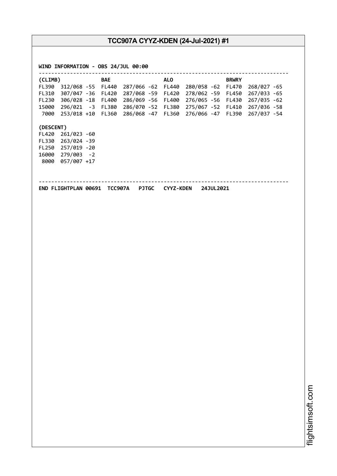| FL390 312/068 -55 FL440 287/066 -62 FL440 280/058 -62 FL470<br>268/027 -65<br>FL310 307/047 -36 FL420 287/068 -59 FL420<br>278/062 -59 FL450<br>267/033 -65<br>FL230 306/028 -18 FL400 286/069 -56 FL400<br>276/065 -56 FL430<br>267/035 -62<br>15000 296/021 -3 FL380 286/070 -52 FL380 275/067 -52 FL410 267/036 -58<br>7000 253/018 +10 FL360 286/068 -47 FL360 276/066 -47 FL390 267/037 -54<br>(DESCENT)<br>FL420 261/023 -60<br>FL330 263/024 -39<br>FL250 257/019 -20<br>16000 279/003 -2<br>8000 057/007 +17<br>END FLIGHTPLAN 00691 TCC907A PJTGC CYYZ-KDEN 24JUL2021 | (CLIMB) |  | <b>BAE</b> | <b>ALO</b> | <b>BRWRY</b> |  |
|--------------------------------------------------------------------------------------------------------------------------------------------------------------------------------------------------------------------------------------------------------------------------------------------------------------------------------------------------------------------------------------------------------------------------------------------------------------------------------------------------------------------------------------------------------------------------------|---------|--|------------|------------|--------------|--|
|                                                                                                                                                                                                                                                                                                                                                                                                                                                                                                                                                                                |         |  |            |            |              |  |
|                                                                                                                                                                                                                                                                                                                                                                                                                                                                                                                                                                                |         |  |            |            |              |  |
|                                                                                                                                                                                                                                                                                                                                                                                                                                                                                                                                                                                |         |  |            |            |              |  |
|                                                                                                                                                                                                                                                                                                                                                                                                                                                                                                                                                                                |         |  |            |            |              |  |
|                                                                                                                                                                                                                                                                                                                                                                                                                                                                                                                                                                                |         |  |            |            |              |  |
|                                                                                                                                                                                                                                                                                                                                                                                                                                                                                                                                                                                |         |  |            |            |              |  |
|                                                                                                                                                                                                                                                                                                                                                                                                                                                                                                                                                                                |         |  |            |            |              |  |
|                                                                                                                                                                                                                                                                                                                                                                                                                                                                                                                                                                                |         |  |            |            |              |  |
|                                                                                                                                                                                                                                                                                                                                                                                                                                                                                                                                                                                |         |  |            |            |              |  |
|                                                                                                                                                                                                                                                                                                                                                                                                                                                                                                                                                                                |         |  |            |            |              |  |
|                                                                                                                                                                                                                                                                                                                                                                                                                                                                                                                                                                                |         |  |            |            |              |  |
|                                                                                                                                                                                                                                                                                                                                                                                                                                                                                                                                                                                |         |  |            |            |              |  |
|                                                                                                                                                                                                                                                                                                                                                                                                                                                                                                                                                                                |         |  |            |            |              |  |
|                                                                                                                                                                                                                                                                                                                                                                                                                                                                                                                                                                                |         |  |            |            |              |  |
|                                                                                                                                                                                                                                                                                                                                                                                                                                                                                                                                                                                |         |  |            |            |              |  |
|                                                                                                                                                                                                                                                                                                                                                                                                                                                                                                                                                                                |         |  |            |            |              |  |
|                                                                                                                                                                                                                                                                                                                                                                                                                                                                                                                                                                                |         |  |            |            |              |  |
|                                                                                                                                                                                                                                                                                                                                                                                                                                                                                                                                                                                |         |  |            |            |              |  |
|                                                                                                                                                                                                                                                                                                                                                                                                                                                                                                                                                                                |         |  |            |            |              |  |
|                                                                                                                                                                                                                                                                                                                                                                                                                                                                                                                                                                                |         |  |            |            |              |  |
|                                                                                                                                                                                                                                                                                                                                                                                                                                                                                                                                                                                |         |  |            |            |              |  |
|                                                                                                                                                                                                                                                                                                                                                                                                                                                                                                                                                                                |         |  |            |            |              |  |
|                                                                                                                                                                                                                                                                                                                                                                                                                                                                                                                                                                                |         |  |            |            |              |  |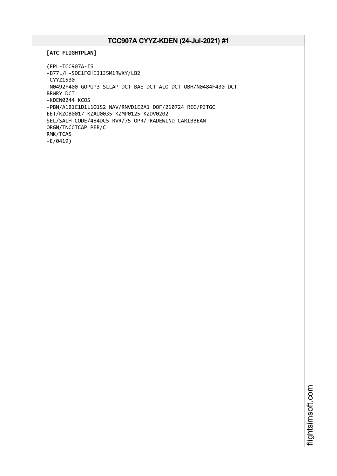```
[ATC FLIGHTPLAN]
```

```
(FPL-TCC907A-IS
-B77L/H-SDE1FGHIJ1J5M1RWXY/LB2
-CYYZ1530
-N0492F400 GOPUP3 SLLAP DCT BAE DCT ALO DCT OBH/N0484F430 DCT
BRWRY DCT
-KDEN0244 KCOS
-PBN/A1B1C1D1L1O1S2 NAV/RNVD1E2A1 DOF/210724 REG/PJTGC
EET/KZOB0017 KZAU0035 KZMP0125 KZDV0202
SEL/SALH CODE/484DC5 RVR/75 OPR/TRADEWIND CARIBBEAN
ORGN/TNCCTCAP PER/C
RMK/TCAS
-E/0419)
```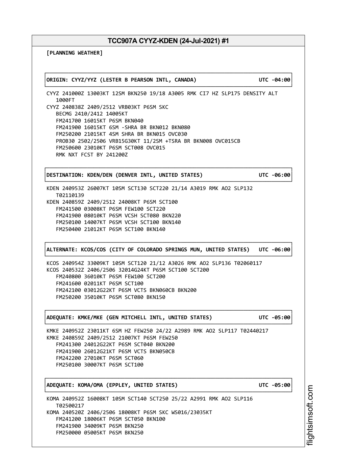┌──────────────────────────────────────────────────────────────────────────────┐

└──────────────────────────────────────────────────────────────────────────────┘

**[PLANNING WEATHER]**

│**ORIGIN: CYYZ/YYZ (LESTER B PEARSON INTL, CANADA) UTC -04:00**│

CYYZ 241000Z 13003KT 12SM BKN250 19/18 A3005 RMK CI7 HZ SLP175 DENSITY ALT 1000FT CYYZ 240838Z 2409/2512 VRB03KT P6SM SKC BECMG 2410/2412 14005KT FM241700 16015KT P6SM BKN040 FM241900 16015KT 6SM -SHRA BR BKN012 BKN080 FM250200 21015KT 4SM SHRA BR BKN015 OVC030 PROB30 2502/2506 VRB15G30KT 11/2SM +TSRA BR BKN008 OVC015CB FM250600 23010KT P6SM SCT008 OVC015 RMK NXT FCST BY 241200Z

│**DESTINATION: KDEN/DEN (DENVER INTL, UNITED STATES) UTC -06:00**│

┌──────────────────────────────────────────────────────────────────────────────┐

KDEN 240953Z 26007KT 10SM SCT130 SCT220 21/14 A3019 RMK AO2 SLP132 T02110139 KDEN 240859Z 2409/2512 24008KT P6SM SCT100 FM241500 03008KT P6SM FEW100 SCT220 FM241900 08010KT P6SM VCSH SCT080 BKN220 FM250100 14007KT P6SM VCSH SCT100 BKN140 FM250400 21012KT P6SM SCT100 BKN140

┌──────────────────────────────────────────────────────────────────────────────┐ │**ALTERNATE: KCOS/COS (CITY OF COLORADO SPRINGS MUN, UNITED STATES) UTC -06:00**│ └──────────────────────────────────────────────────────────────────────────────┘

┌──────────────────────────────────────────────────────────────────────────────┐

└──────────────────────────────────────────────────────────────────────────────┘

┌──────────────────────────────────────────────────────────────────────────────┐

└──────────────────────────────────────────────────────────────────────────────┘

└──────────────────────────────────────────────────────────────────────────────┘

KCOS 240954Z 33009KT 10SM SCT120 21/12 A3026 RMK AO2 SLP136 T02060117 KCOS 240532Z 2406/2506 32014G24KT P6SM SCT100 SCT200 FM240800 36010KT P6SM FEW100 SCT200 FM241600 02011KT P6SM SCT100 FM242100 03012G22KT P6SM VCTS BKN060CB BKN200 FM250200 35010KT P6SM SCT080 BKN150

│**ADEQUATE: KMKE/MKE (GEN MITCHELL INTL, UNITED STATES) UTC -05:00**│

KMKE 240952Z 23011KT 6SM HZ FEW250 24/22 A2989 RMK AO2 SLP117 T02440217 KMKE 240859Z 2409/2512 21007KT P6SM FEW250 FM241300 24012G22KT P6SM SCT040 BKN200 FM241900 26012G21KT P6SM VCTS BKN050CB FM242200 27010KT P6SM SCT060 FM250100 30007KT P6SM SCT100

│**ADEQUATE: KOMA/OMA (EPPLEY, UNITED STATES) UTC -05:00**│

KOMA 240952Z 16008KT 10SM SCT140 SCT250 25/22 A2991 RMK AO2 SLP116 T02500217 KOMA 240520Z 2406/2506 18008KT P6SM SKC WS016/23035KT FM241200 18006KT P6SM SCT050 BKN100 FM241900 34009KT P6SM BKN250 FM250000 05005KT P6SM BKN250

i⊒<br>⊫ htsim soft.c om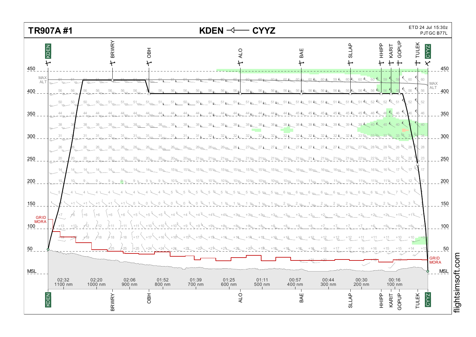

i≣<br>⊫ htsim soft.c o

 $\Xi$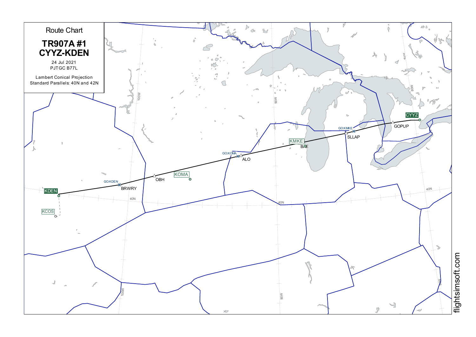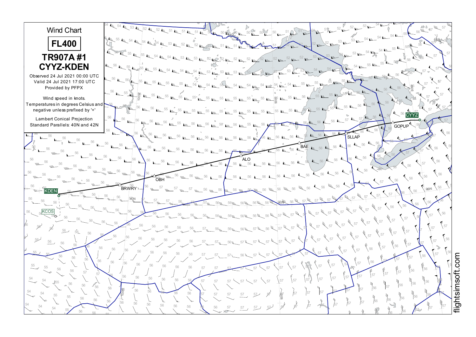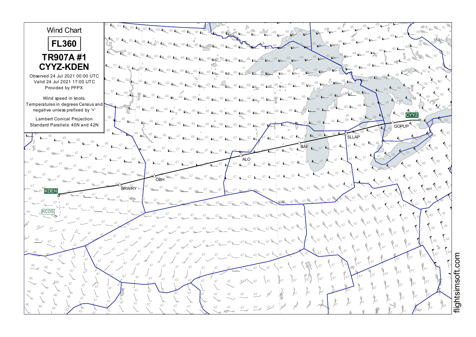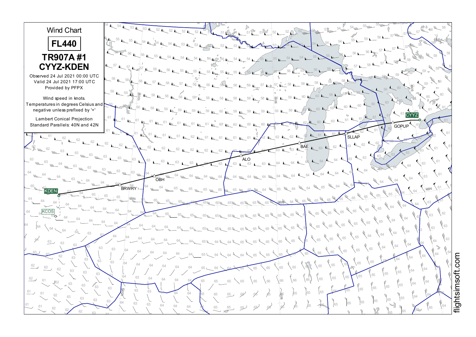